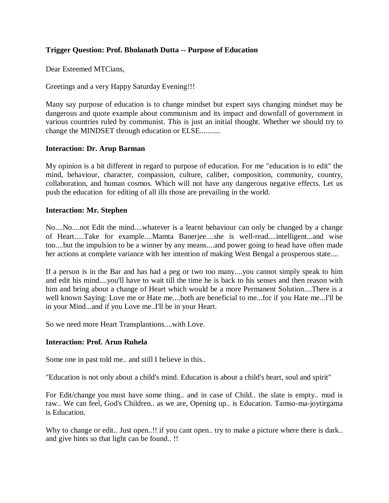# **Trigger Question: Prof. Bholanath Dutta -- Purpose of Education**

Dear Esteemed MTCians,

Greetings and a very Happy Saturday Evening!!!

Many say purpose of education is to change mindset but expert says changing mindset may be dangerous and quote example about communism and its impact and downfall of government in various countries ruled by communist. This is just an initial thought. Whether we should try to change the MINDSET through education or ELSE...........

### **Interaction: Dr. Arup Barman**

My opinion is a bit different in regard to purpose of education. For me "education is to edit" the mind, behaviour, character, compassion, culture, caliber, composition, community, country, collaboration, and human cosmos. Which will not have any dangerous negative effects. Let us push the education for editing of all ills those are prevailing in the world.

### **Interaction: Mr. Stephen**

No....No....not Edit the mind....whatever is a learnt behaviour can only be changed by a change of Heart.....Take for example....Mamta Banerjee....she is well-read....intelligent...and wise too....but the impulsion to be a winner by any means....and power going to head have often made her actions at complete variance with her intention of making West Bengal a prosperous state....

If a person is in the Bar and has had a peg or two too many....you cannot simply speak to him and edit his mind....you'll have to wait till the time he is back to his senses and then reason with him and bring about a change of Heart which would be a more Permanent Solution....There is a well known Saying: Love me or Hate me....both are beneficial to me...for if you Hate me...I'll be in your Mind...and if you Love me..I'll be in your Heart.

So we need more Heart Transplantions....with Love.

#### **Interaction: Prof. Arun Ruhela**

Some one in past told me.. and still I believe in this..

"Education is not only about a child's mind. Education is about a child's heart, soul and spirit"

For Edit/change you must have some thing.. and in case of Child.. the slate is empty.. mud is raw.. We can feel, God's Children.. as we are, Opening up.. is Education. Tamso-ma-joytirgama is Education.

Why to change or edit.. Just open..!! if you cant open.. try to make a picture where there is dark.. and give hints so that light can be found.. !!